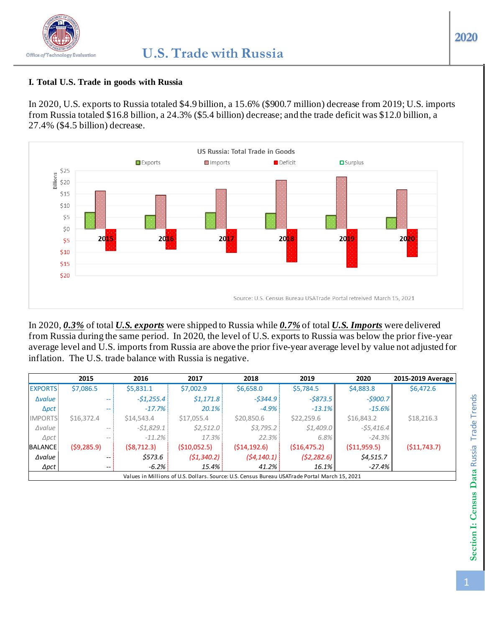# **2020**

#### **I. Total U.S. Trade in goods with Russia**

In 2020, U.S. exports to Russia totaled \$4.9 billion, a 15.6% (\$900.7 million) decrease from 2019; U.S. imports from Russia totaled \$16.8 billion, a 24.3% (\$5.4 billion) decrease; and the trade deficit was \$12.0 billion, a 27.4% (\$4.5 billion) decrease.



In 2020, *0.3%* of total *U.S. exports* were shipped to Russia while *0.7%* of total *U.S. Imports* were delivered from Russia during the same period. In 2020, the level of U.S. exports to Russia was below the prior five-year average level and U.S. imports from Russia are above the prior five-year average level by value not adjusted for inflation. The U.S. trade balance with Russia is negative.

|                | 2015                     | 2016        | 2017        | 2018                                                                                          | 2019          | 2020          | 2015-2019 Average |
|----------------|--------------------------|-------------|-------------|-----------------------------------------------------------------------------------------------|---------------|---------------|-------------------|
| <b>EXPORTS</b> | \$7,086.5                | \$5,831.1   | \$7,002.9   | \$6,658.0                                                                                     | \$5,784.5     | \$4,883.8     | \$6,472.6         |
| <b>Avalue</b>  | --                       | $-51,255.4$ | \$1,171.8   | $-5344.9$                                                                                     | $-5873.5$     | $-5900.7$     |                   |
| $\Delta pct$   | --                       | $-17.7\%$   | $20.1\%$    | $-4.9\%$                                                                                      | $-13.1%$      | $-15.6\%$     |                   |
| <b>IMPORTS</b> | \$16,372.4               | \$14,543.4  | \$17,055.4  | \$20,850.6                                                                                    | \$22,259.6    | \$16,843.2    | \$18,216.3        |
| $\Delta$ value | $- -$                    | $-51,829.1$ | \$2,512.0   | \$3,795.2                                                                                     | \$1,409.0     | $-55,416.4$   |                   |
| $\Delta pct$   | $\qquad \qquad -$        | $-11.2%$    | 17.3%       | $22.3\%$                                                                                      | 6.8%          | $-24.3\%$     |                   |
| <b>BALANCE</b> | (59, 285.9)              | (58, 712.3) | (510,052.5) | (514, 192.6)                                                                                  | ( \$16,475.2) | ( \$11,959.5) | (511, 743.7)      |
| Δvalue         | $- -$                    | \$573.6     | (51, 340.2) | (54, 140.1)                                                                                   | (52, 282.6)   | \$4,515.7     |                   |
| $\Delta pct$   | $\overline{\phantom{m}}$ | $-6.2%$     | 15.4%       | 41.2%                                                                                         | 16.1%         | $-27.4\%$     |                   |
|                |                          |             |             | Values in Millions of U.S. Dollars. Source: U.S. Census Bureau USATrade Portal March 15, 2021 |               |               |                   |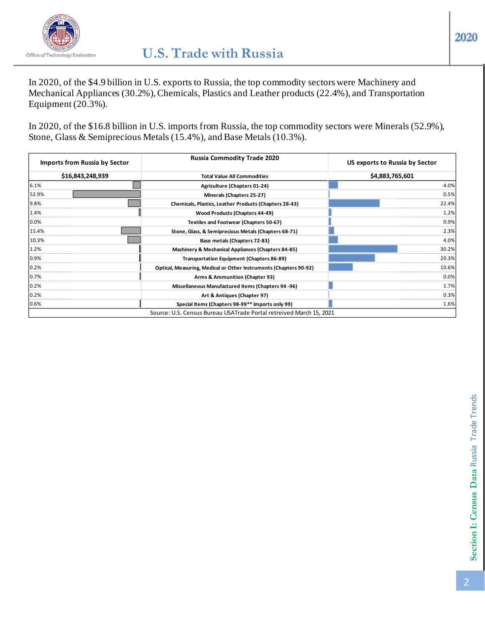

In 2020, of the \$4.9 billion in U.S. exports to Russia, the top commodity sectors were Machinery and Mechanical Appliances (30.2%), Chemicals, Plastics and Leather products (22.4%), and Transportation Equipment  $(20.3\%)$ .

In 2020, of the \$16.8 billion in U.S. imports from Russia, the top commodity sectors were Minerals (52.9%), Stone, Glass & Semiprecious Metals (15.4%), and Base Metals (10.3%).

| <b>Imports from Russia by Sector</b> | <b>Russia Commodity Trade 2020</b>                                  | US exports to Russia by Sector |
|--------------------------------------|---------------------------------------------------------------------|--------------------------------|
| \$16,843,248,939                     | <b>Total Value All Commodities</b>                                  | \$4,883,765,601                |
| 6.1%                                 | Agriculture (Chapters 01-24)                                        | 4.0%                           |
| 52.9%                                | Minerals (Chapters 25-27)                                           | 0.5%                           |
| 9.8%                                 | Chemicals, Plastics, Leather Products (Chapters 28-43)              | 22.4%l                         |
| 1.4%                                 | Wood Products (Chapters 44-49)                                      | 1.2%                           |
| 0.0%                                 | <b>Textiles and Footwear (Chapters 50-67)</b>                       | 0.9%                           |
| 15.4%                                | Stone, Glass, & Semiprecious Metals (Chapters 68-71)                | 2.3%                           |
| 10.3%                                | Base metals (Chapters 72-83)                                        | 4.0%                           |
| 1.2%                                 | Machinery & Mechanical Appliances (Chapters 84-85)                  | 30.2%                          |
| 0.9%                                 | Transportation Equipment (Chapters 86-89)                           | 20.3%                          |
| 0.2%                                 | Optical, Measuring, Medical or Other Instruments (Chapters 90-92)   | 10.6%                          |
| 0.7%                                 | Arms & Ammunition (Chapter 93)                                      | 0.0%                           |
| 0.2%                                 | Miscellaneous Manufactured Items (Chapters 94 -96)                  | 1.7%                           |
| 0.2%                                 | Art & Antiques (Chapter 97)                                         | 0.3%                           |
| 0.6%                                 | Special Items (Chapters 98-99** Imports only 99)                    | 1.6%                           |
|                                      | Source: U.S. Census Bureau USATrade Portal retreived March 15, 2021 |                                |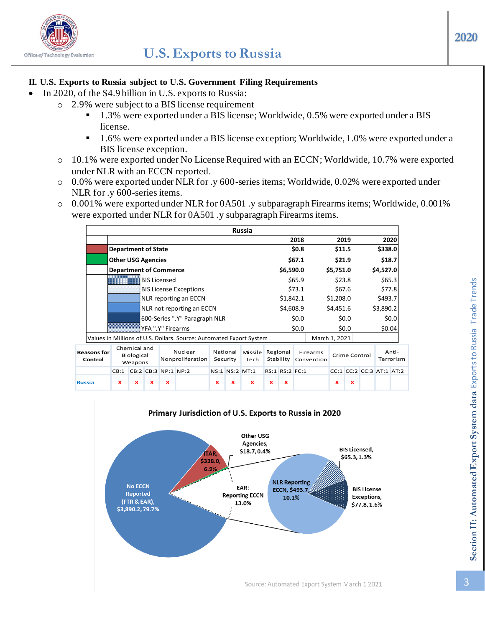

## **II. U.S. Exports to Russia subject to U.S. Government Filing Requirements**

- In 2020, of the \$4.9 billion in U.S. exports to Russia:
	- o 2.9% were subject to a BIS license requirement
		- 1.3% were exported under a BIS license; Worldwide, 0.5% were exported under a BIS license.
		- 1.6% were exported under a BIS license exception; Worldwide, 1.0% were exported under a BIS license exception.
		- o 10.1% were exported under No License Required with an ECCN; Worldwide, 10.7% were exported under NLR with an ECCN reported.
		- o 0.0% were exported under NLR for .y 600-series items; Worldwide, 0.02% were exported under NLR for .y 600-series items.
		- o 0.001% were exported under NLR for 0A501 .y subparagraph Firearms items; Worldwide, 0.001% were exported under NLR for 0A501 .y subparagraph Firearms items.

|                               |                               |                                       |             |                           |                                                                     |             |                      | <b>Russia</b>   |                    |                        |                        |         |                           |               |                          |           |       |
|-------------------------------|-------------------------------|---------------------------------------|-------------|---------------------------|---------------------------------------------------------------------|-------------|----------------------|-----------------|--------------------|------------------------|------------------------|---------|---------------------------|---------------|--------------------------|-----------|-------|
|                               |                               |                                       |             |                           |                                                                     |             |                      |                 |                    |                        | 2018                   |         |                           | 2019          |                          |           | 2020  |
|                               | <b>Department of State</b>    |                                       |             |                           |                                                                     |             |                      |                 | \$0.8\$<br>\$11.5  |                        |                        |         | \$338.0                   |               |                          |           |       |
|                               | <b>Other USG Agencies</b>     |                                       |             |                           |                                                                     |             |                      |                 |                    | \$67.1<br>\$21.9       |                        |         | \$18.7                    |               |                          |           |       |
|                               | <b>Department of Commerce</b> |                                       |             |                           |                                                                     |             |                      |                 |                    | \$6,590.0<br>\$5,751.0 |                        |         |                           | \$4,527.0     |                          |           |       |
|                               | <b>BIS Licensed</b>           |                                       |             |                           |                                                                     |             |                      |                 |                    |                        | \$65.9                 |         | \$23.8                    |               |                          | \$65.3    |       |
|                               |                               |                                       |             |                           | <b>BIS License Exceptions</b>                                       |             |                      |                 |                    |                        | \$73.1                 |         | \$67.6                    |               |                          | \$77.8    |       |
|                               |                               |                                       |             |                           | NLR reporting an ECCN                                               |             |                      |                 | \$1,842.1          |                        |                        |         | \$1,208.0                 |               | \$493.7                  |           |       |
|                               |                               |                                       |             | NLR not reporting an ECCN |                                                                     |             |                      | \$4,608.9       |                    |                        | \$4,451.6              |         |                           | \$3,890.2     |                          |           |       |
|                               |                               |                                       |             |                           | 600-Series ".Y" Paragraph NLR                                       |             |                      |                 | \$0.0\$<br>\$0.0\$ |                        |                        |         | \$0.0\$                   |               | \$0.0<br>\$0.04          |           |       |
|                               |                               |                                       |             | YFA ".Y" Firearms         |                                                                     |             |                      |                 |                    |                        |                        | \$0.0\$ |                           |               |                          |           |       |
|                               |                               |                                       |             |                           | Values in Millions of U.S. Dollars. Source: Automated Export System |             |                      |                 |                    |                        |                        |         | March 1, 2021             |               |                          |           |       |
| <b>Reasons for</b><br>Control |                               | Chemical and<br>Biological<br>Weapons |             |                           | Nuclear<br>Nonproliferation                                         |             | National<br>Security | Missile<br>Tech | Regional           | Stability              | Firearms<br>Convention |         |                           | Crime Control |                          | Terrorism | Anti- |
|                               | CB:1                          |                                       |             | CB:2 CB:3 NP:1 NP:2       |                                                                     |             |                      | NS:1 NS:2 MT:1  |                    | RS:1 RS:2 FC:1         |                        |         |                           |               | CC:1 CC:2 CC:3 AT:1 AT:2 |           |       |
| Russia                        | $\mathbf x$                   | x                                     | $\mathbf x$ | $\boldsymbol{\mathsf{x}}$ |                                                                     | $\mathbf x$ | ×                    | $\mathbf{x}$    | $\mathbf x$        | $\mathbf x$            |                        |         | $\boldsymbol{\mathsf{x}}$ | $\mathbf x$   |                          |           |       |

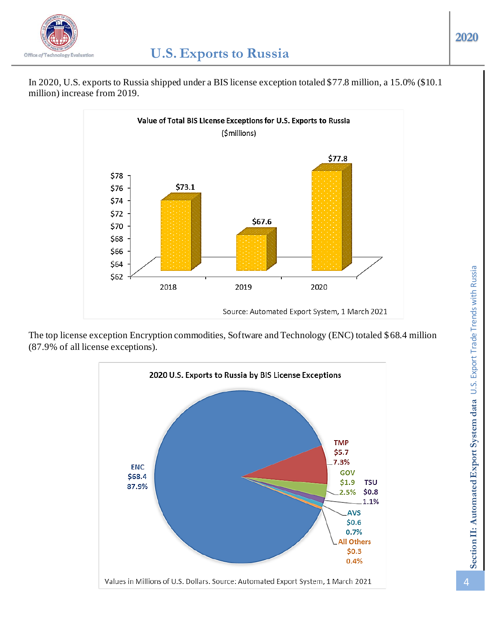

In 2020, U.S. exports to Russia shipped under a BIS license exception totaled \$77.8 million, a 15.0% (\$10.1 million) increase from 2019.



The top license exception Encryption commodities, Software and Technology (ENC) totaled \$68.4 million (87.9% of all license exceptions).

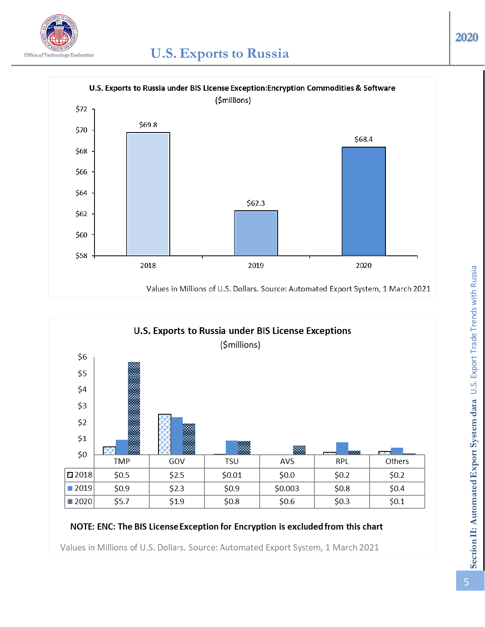





## NOTE: ENC: The BIS License Exception for Encryption is excluded from this chart

Values in Millions of U.S. Dollars. Source: Automated Export System, 1 March 2021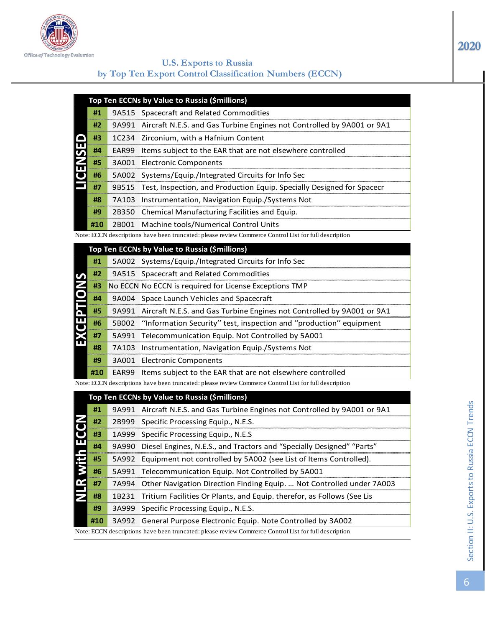

| Allie al i eenimaalli Paanaanin |                                                         |
|---------------------------------|---------------------------------------------------------|
|                                 | <b>U.S. Exports to Russia</b>                           |
|                                 | by Top Ten Export Control Classification Numbers (ECCN) |

|               |     | Top Ten ECCNs by Value to Russia (\$millions)                                  |
|---------------|-----|--------------------------------------------------------------------------------|
|               | #1  | 9A515 Spacecraft and Related Commodities                                       |
|               | #2  | 9A991 Aircraft N.E.S. and Gas Turbine Engines not Controlled by 9A001 or 9A1   |
|               | #3  | 1C234 Zirconium, with a Hafnium Content                                        |
| <b>GENSED</b> | #4  | <b>EAR99</b> Items subject to the EAR that are not elsewhere controlled        |
|               | #5  | 3A001 Electronic Components                                                    |
|               | #6  | 5A002 Systems/Equip./Integrated Circuits for Info Sec                          |
|               | #7  | 9B515   Test, Inspection, and Production Equip. Specially Designed for Spacecr |
|               | #8  | 7A103 Instrumentation, Navigation Equip./Systems Not                           |
|               | #9  | 2B350 Chemical Manufacturing Facilities and Equip.                             |
|               | #10 | 2B001 Machine tools/Numerical Control Units                                    |

|     | Top Ten ECCNs by Value to Russia (\$millions)                                |
|-----|------------------------------------------------------------------------------|
| #1  | 5A002 Systems/Equip./Integrated Circuits for Info Sec                        |
| #2  | 9A515 Spacecraft and Related Commodities                                     |
| #3  | No ECCN No ECCN is required for License Exceptions TMP                       |
| #4  | 9A004 Space Launch Vehicles and Spacecraft                                   |
| #5  | 9A991 Aircraft N.E.S. and Gas Turbine Engines not Controlled by 9A001 or 9A1 |
| #6  | 5B002 "Information Security" test, inspection and "production" equipment     |
| #7  | 5A991 Telecommunication Equip. Not Controlled by 5A001                       |
| #8  | 7A103 Instrumentation, Navigation Equip./Systems Not                         |
| #9  | 3A001 Electronic Components                                                  |
| #10 | <b>EAR99</b> Items subject to the EAR that are not elsewhere controlled      |

|                   |     |       | Top Ten ECCNs by Value to Russia (\$millions)                                                         |
|-------------------|-----|-------|-------------------------------------------------------------------------------------------------------|
|                   | #1  | 9A515 | Spacecraft and Related Commodities                                                                    |
|                   | #2  | 9A991 | Aircraft N.E.S. and Gas Turbine Engines not Controlled by 9A001 or 9A1                                |
|                   | #3  | 1C234 | Zirconium, with a Hafnium Content                                                                     |
|                   | #4  | EAR99 | Items subject to the EAR that are not elsewhere controlled                                            |
|                   | #5  | 3A001 | <b>Electronic Components</b>                                                                          |
| <b>UENSED</b>     | #6  | 5A002 | Systems/Equip./Integrated Circuits for Info Sec                                                       |
|                   | #7  | 9B515 | Test, Inspection, and Production Equip. Specially Designed for Spacecr                                |
|                   | #8  | 7A103 | Instrumentation, Navigation Equip./Systems Not                                                        |
|                   | #9  | 2B350 | Chemical Manufacturing Facilities and Equip.                                                          |
|                   | #10 | 2B001 | Machine tools/Numerical Control Units                                                                 |
|                   |     |       | Note: ECCN descriptions have been truncated: please review Commerce Control List for full description |
|                   |     |       | Top Ten ECCNs by Value to Russia (\$millions)                                                         |
|                   | #1  | 5A002 | Systems/Equip./Integrated Circuits for Info Sec                                                       |
|                   | #2  | 9A515 | Spacecraft and Related Commodities                                                                    |
| <b>EXCEPTIONS</b> | #3  |       | No ECCN No ECCN is required for License Exceptions TMP                                                |
|                   | #4  | 9A004 | Space Launch Vehicles and Spacecraft                                                                  |
|                   | #5  | 9A991 | Aircraft N.E.S. and Gas Turbine Engines not Controlled by 9A001 or 9A1                                |
|                   | #6  | 5B002 | "Information Security" test, inspection and "production" equipment                                    |
|                   | #7  | 5A991 | Telecommunication Equip. Not Controlled by 5A001                                                      |
|                   | #8  | 7A103 | Instrumentation, Navigation Equip./Systems Not                                                        |
|                   | #9  |       | 3A001 Electronic Components                                                                           |
|                   | #10 | EAR99 | Items subject to the EAR that are not elsewhere controlled                                            |
|                   |     |       | Note: ECCN descriptions have been truncated: please review Commerce Control List for full description |
|                   |     |       | Top Ten ECCNs by Value to Russia (\$millions)                                                         |
|                   | #1  |       | 9A991 Aircraft N.E.S. and Gas Turbine Engines not Controlled by 9A001 or 9A1                          |
|                   | #2  | 2B999 | Specific Processing Equip., N.E.S.                                                                    |
|                   | #3  |       | 1A999 Specific Processing Equip., N.E.S                                                               |
|                   | #4  | 9A990 | Diesel Engines, N.E.S., and Tractors and "Specially Designed" "Parts"                                 |
|                   | #5  | 5A992 | Equipment not controlled by 5A002 (see List of Items Controlled).                                     |
|                   | #6  | 5A991 | Telecommunication Equip. Not Controlled by 5A001                                                      |
| NLR wit           | #7  | 7A994 | Other Navigation Direction Finding Equip.  Not Controlled under 7A003                                 |
|                   | #8  | 1B231 | Tritium Facilities Or Plants, and Equip. therefor, as Follows (See Lis                                |
|                   | #9  | 3A999 | Specific Processing Equip., N.E.S.                                                                    |
|                   | #10 | 3A992 | General Purpose Electronic Equip. Note Controlled by 3A002                                            |
|                   |     |       | Note: ECCN descriptions have been truncated: please review Commerce Control List for full description |

**2020**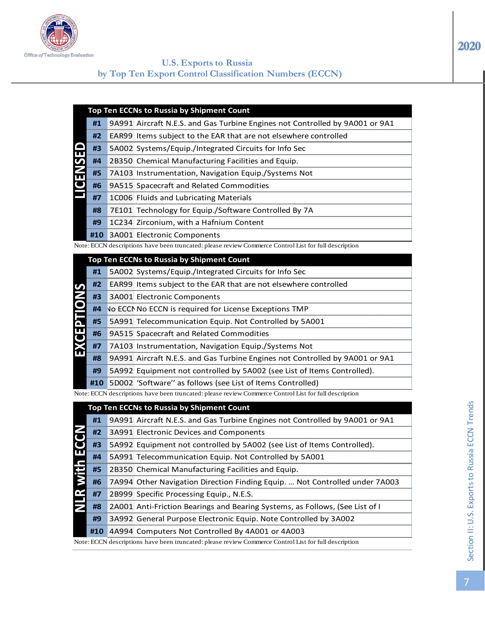

#### **U.S. Exports to Russia by Top Ten Export Control Classification Numbers (ECCN)**

- **#1** 9A991 Aircraft N.E.S. and Gas Turbine Engines not Controlled by 9A001 or 9A1
- **#2** EAR99 Items subject to the EAR that are not elsewhere controlled
- **#3** 5A002 Systems/Equip./Integrated Circuits for Info Sec
- **#4** 2B350 Chemical Manufacturing Facilities and Equip.
- **#5** 7A103 Instrumentation, Navigation Equip./Systems Not
	- **#6** 9A515 Spacecraft and Related Commodities
- **#7** 1C006 Fluids and Lubricating Materials
	- **#8** 7E101 Technology for Equip./Software Controlled By 7A
	- **#9** 1C234 Zirconium, with a Hafnium Content
- **#10** 3A001 Electronic Components

|     | Top Ten ECCNs to Russia by Shipment Count                                    |
|-----|------------------------------------------------------------------------------|
| #1  | 5A002 Systems/Equip./Integrated Circuits for Info Sec                        |
| #2  | <b>EAR99</b> Items subject to the EAR that are not elsewhere controlled      |
| #3  | 3A001 Electronic Components                                                  |
|     | <b>#4 Vo ECCN No ECCN is required for License Exceptions TMP</b>             |
| #5  | 5A991 Telecommunication Equip. Not Controlled by 5A001                       |
| #6  | 9A515 Spacecraft and Related Commodities                                     |
| #7  | 7A103 Instrumentation, Navigation Equip./Systems Not                         |
| #8  | 9A991 Aircraft N.E.S. and Gas Turbine Engines not Controlled by 9A001 or 9A1 |
| #9  | 5A992 Equipment not controlled by 5A002 (see List of Items Controlled).      |
| #10 | 5D002 'Software'' as follows (see List of Items Controlled)                  |

|               |     | Top Ten ECCNs to Russia by Shipment Count                                                             |
|---------------|-----|-------------------------------------------------------------------------------------------------------|
|               | #1  | 9A991 Aircraft N.E.S. and Gas Turbine Engines not Controlled by 9A001 or 9A1                          |
|               | #2  | EAR99 Items subject to the EAR that are not elsewhere controlled                                      |
|               | #3  | 5A002 Systems/Equip./Integrated Circuits for Info Sec                                                 |
| <b>GENSED</b> | #4  | 2B350 Chemical Manufacturing Facilities and Equip.                                                    |
|               | #5  | 7A103 Instrumentation, Navigation Equip./Systems Not                                                  |
|               | #6  | 9A515 Spacecraft and Related Commodities                                                              |
|               | #7  | 1C006 Fluids and Lubricating Materials                                                                |
|               | #8  | 7E101 Technology for Equip./Software Controlled By 7A                                                 |
|               | #9  | 1C234 Zirconium, with a Hafnium Content                                                               |
|               | #10 | 3A001 Electronic Components                                                                           |
|               |     | Note: ECCN descriptions have been truncated: please review Commerce Control List for full description |
|               |     | Top Ten ECCNs to Russia by Shipment Count                                                             |
|               | #1  | 5A002 Systems/Equip./Integrated Circuits for Info Sec                                                 |
|               | #2  | EAR99 Items subject to the EAR that are not elsewhere controlled                                      |
|               | #3  | 3A001 Electronic Components                                                                           |
|               | #4  | No ECCI No ECCN is required for License Exceptions TMP                                                |
|               | #5  | 5A991 Telecommunication Equip. Not Controlled by 5A001                                                |
| EXCEPTION     | #6  | 9A515 Spacecraft and Related Commodities                                                              |
|               | #7  | 7A103 Instrumentation, Navigation Equip./Systems Not                                                  |
|               | #8  | 9A991 Aircraft N.E.S. and Gas Turbine Engines not Controlled by 9A001 or 9A1                          |
|               | #9  | 5A992 Equipment not controlled by 5A002 (see List of Items Controlled).                               |
|               | #10 | 5D002 'Software" as follows (see List of Items Controlled)                                            |
|               |     | Note: ECCN descriptions have been truncated: please review Commerce Control List for full description |
|               |     | Top Ten ECCNs to Russia by Shipment Count                                                             |
|               | #1  | 9A991 Aircraft N.E.S. and Gas Turbine Engines not Controlled by 9A001 or 9A1                          |
|               | #2  | 3A991 Electronic Devices and Components                                                               |
|               | #3  | 5A992 Equipment not controlled by 5A002 (see List of Items Controlled).                               |
|               | #4  | 5A991 Telecommunication Equip. Not Controlled by 5A001                                                |
|               | #5  | 2B350 Chemical Manufacturing Facilities and Equip.                                                    |
|               | #6  | 7A994 Other Navigation Direction Finding Equip.  Not Controlled under 7A003                           |
|               | #7  | 2B999 Specific Processing Equip., N.E.S.                                                              |
|               | #8  | 2A001 Anti-Friction Bearings and Bearing Systems, as Follows, (See List of I                          |
|               | #9  | 3A992 General Purpose Electronic Equip. Note Controlled by 3A002                                      |
|               | #10 | 4A994 Computers Not Controlled By 4A001 or 4A003                                                      |
|               |     | Note: ECCN descriptions have been truncated: please review Commerce Control List for full description |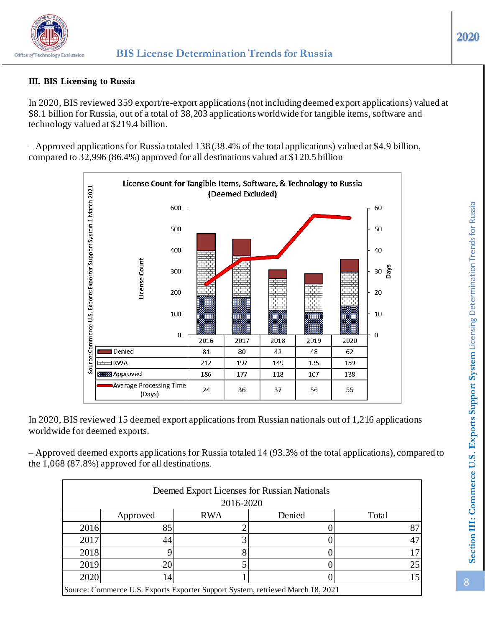

## **III. BIS Licensing to Russia**

In 2020, BIS reviewed 359 export/re-export applications (not including deemed export applications) valued at \$8.1 billion for Russia, out of a total of 38,203 applications worldwide for tangible items, software and technology valued at \$219.4 billion.

– Approved applications for Russia totaled 138 (38.4% of the total applications) valued at \$4.9 billion, compared to 32,996 (86.4%) approved for all destinations valued at \$120.5 billion



In 2020, BIS reviewed 15 deemed export applications from Russian nationals out of 1,216 applications worldwide for deemed exports.

– Approved deemed exports applications for Russia totaled 14 (93.3% of the total applications), compared to the 1,068 (87.8%) approved for all destinations.

| Deemed Export Licenses for Russian Nationals<br>2016-2020                       |          |            |        |       |  |  |  |
|---------------------------------------------------------------------------------|----------|------------|--------|-------|--|--|--|
|                                                                                 | Approved | <b>RWA</b> | Denied | Total |  |  |  |
| 2016                                                                            | 85       |            |        | 87    |  |  |  |
| 2017                                                                            | 44       |            |        | 47    |  |  |  |
| 2018                                                                            |          |            |        | 17    |  |  |  |
| 2019                                                                            | 20       |            |        | 25    |  |  |  |
| 2020                                                                            | 14       |            |        | 15    |  |  |  |
| Source: Commerce U.S. Exports Exporter Support System, retrieved March 18, 2021 |          |            |        |       |  |  |  |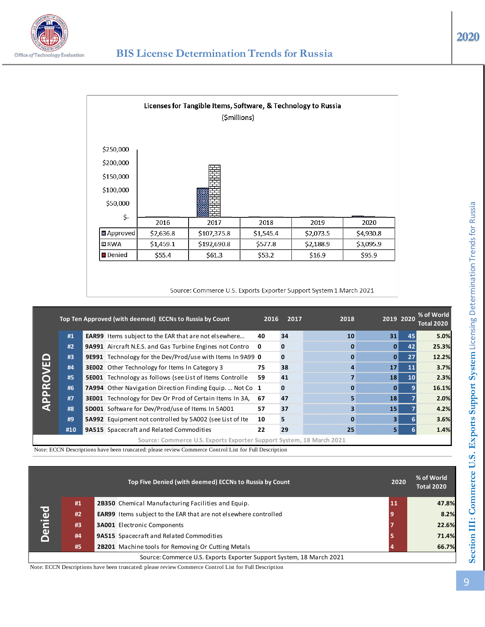

|                 |           | Licenses for Tangible Items, Software, & Technology to Russia<br>(\$millions) |           |           |           |
|-----------------|-----------|-------------------------------------------------------------------------------|-----------|-----------|-----------|
| \$250,000       |           |                                                                               |           |           |           |
| \$200,000       |           |                                                                               |           |           |           |
| \$150,000       |           | 業業                                                                            |           |           |           |
| \$100,000       |           |                                                                               |           |           |           |
| \$50,000        |           |                                                                               |           |           |           |
| \$-             |           |                                                                               |           |           |           |
|                 | 2016      | 2017                                                                          | 2018      | 2019      | 2020      |
| ■ Approved      | \$2,636.8 | \$107,375.8                                                                   | \$1,545.4 | \$2,073.5 | \$4,930.8 |
| ロRWA            | \$1,459.1 | \$192,690.8                                                                   | \$577.8   | \$2,188.9 | \$3,095.9 |
| <b>□</b> Denied | \$55.4    | \$61.3                                                                        | \$53.2    | \$16.9    | \$95.9    |

#### Source: Commerce U.S. Exports Exporter Support System 1 March 2021

|          |     | Top Ten Approved (with deemed) ECCNs to Russia by Count              | 2016         | 2017 | 2018     | 2019 2020 |    | % of World<br><b>Total 2020</b> |
|----------|-----|----------------------------------------------------------------------|--------------|------|----------|-----------|----|---------------------------------|
|          | #1  | <b>EAR99</b> Items subject to the EAR that are not elsewhere         | 40           | 34   | 10       | 31        | 45 | 5.0%                            |
|          | #2  | 9A991 Aircraft N.E.S. and Gas Turbine Engines not Contro             | $\mathbf{0}$ |      | $\bf{0}$ | 0         | 42 | 25.3%                           |
|          | #3  | 9E991 Technology for the Dev/Prod/use with Items In 9A99 0           |              |      | 0        | 0         | 27 | 12.2%                           |
| APPROVED | #4  | 3E002 Other Technology for Items In Category 3                       | 75           | 38   |          | 17        | 11 | 3.7%                            |
|          | #5  | 5E001 Technology as follows (see List of Items Controlle             | 59           | 41   |          | 18        | 10 | 2.3%                            |
|          | #6  | 7A994 Other Navigation Direction Finding Equip.  Not Co 1            |              | 0    | 0        | 0         |    | 16.1%                           |
|          | #7  | 3E001 Technology for Dev Or Prod of Certain Items In 3A,             | 67           | 47   | 5        | 18        |    | 2.0%                            |
|          | #8  | 5D001 Software for Dev/Prod/use of Items In 5A001                    | 57           | 37   |          | 15        |    | 4.2%                            |
|          | #9  | 5A992 Equipment not controlled by 5A002 (see List of Ite             | 10           | 5    | 0        | 3         |    | 3.6%                            |
|          | #10 | 9A515 Spacecraft and Related Commodities                             | 22           | 29   | 25       | 51        |    | 1.4%                            |
|          |     | Source: Commerce U.S. Exports Exporter Support System, 18 March 2021 |              |      |          |           |    |                                 |

Note: ECCN Descriptions have been truncated: please review Commerce Control List for Full Description

|                                                                      |    |  | Top Five Denied (with deemed) ECCNs to Russia by Count                  |  | 2020 | % of World<br><b>Total 2020</b> |
|----------------------------------------------------------------------|----|--|-------------------------------------------------------------------------|--|------|---------------------------------|
|                                                                      | #1 |  | 2B350 Chemical Manufacturing Facilities and Equip.                      |  | 11   | 47.8%                           |
| <b>Denied</b>                                                        | #2 |  | <b>EAR99</b> Items subject to the EAR that are not elsewhere controlled |  | 9    | 8.2%                            |
|                                                                      | #3 |  | <b>3A001</b> Electronic Components                                      |  |      | 22.6%                           |
|                                                                      | #4 |  | <b>9A515</b> Spacecraft and Related Commodities                         |  |      | 71.4%                           |
|                                                                      | #5 |  | <b>2B201</b> Machine tools for Removing Or Cutting Metals               |  |      | 66.7%                           |
| Source: Commerce U.S. Exports Exporter Support System, 18 March 2021 |    |  |                                                                         |  |      |                                 |

Note: ECCN Descriptions have been truncated: please review Commerce Control List for Full Description